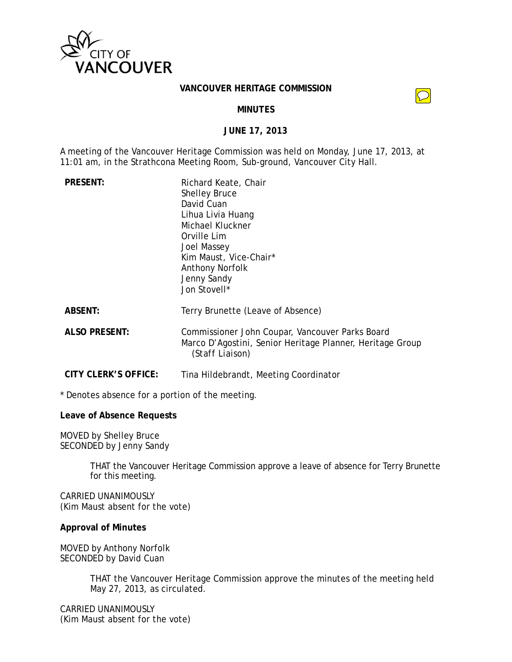

#### **VANCOUVER HERITAGE COMMISSION**

 $\bigcirc$ 

### **MINUTES**

### **JUNE 17, 2013**

A meeting of the Vancouver Heritage Commission was held on Monday, June 17, 2013, at 11:01 am, in the Strathcona Meeting Room, Sub-ground, Vancouver City Hall.

| <b>PRESENT:</b> | Richard Keate, Chair<br><b>Shelley Bruce</b><br>David Cuan<br>Lihua Livia Huang<br>Michael Kluckner<br>Orville Lim<br>Joel Massey<br>Kim Maust, Vice-Chair*<br><b>Anthony Norfolk</b><br>Jenny Sandy<br>Jon Stovell* |
|-----------------|----------------------------------------------------------------------------------------------------------------------------------------------------------------------------------------------------------------------|
| <b>ABSENT:</b>  | Terry Brunette (Leave of Absence)                                                                                                                                                                                    |
| ALSO PRESENT:   | Commissioner John Coupar, Vancouver P                                                                                                                                                                                |

**ALCO** Board Marco D'Agostini, Senior Heritage Planner, Heritage Group *(Staff Liaison)*

**CITY CLERK'S OFFICE:** Tina Hildebrandt, Meeting Coordinator

\* Denotes absence for a portion of the meeting.

### **Leave of Absence Requests**

MOVED by Shelley Bruce SECONDED by Jenny Sandy

> THAT the Vancouver Heritage Commission approve a leave of absence for Terry Brunette for this meeting.

CARRIED UNANIMOUSLY (Kim Maust absent for the vote)

### **Approval of Minutes**

MOVED by Anthony Norfolk SECONDED by David Cuan

> THAT the Vancouver Heritage Commission approve the minutes of the meeting held May 27, 2013, as circulated.

CARRIED UNANIMOUSLY (Kim Maust absent for the vote)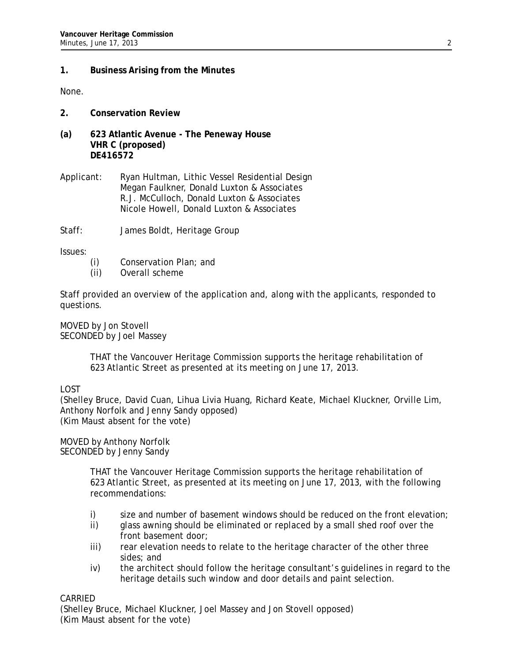## **1. Business Arising from the Minutes**

None.

- **2. Conservation Review**
- **(a) 623 Atlantic Avenue The Peneway House VHR C (proposed) DE416572**
- Applicant: Ryan Hultman, Lithic Vessel Residential Design Megan Faulkner, Donald Luxton & Associates R.J. McCulloch, Donald Luxton & Associates Nicole Howell, Donald Luxton & Associates
- Staff: James Boldt, Heritage Group

Issues:

- (i) Conservation Plan; and
- (ii) Overall scheme

Staff provided an overview of the application and, along with the applicants, responded to questions.

MOVED by Jon Stovell SECONDED by Joel Massey

> THAT the Vancouver Heritage Commission supports the heritage rehabilitation of 623 Atlantic Street as presented at its meeting on June 17, 2013.

LOST

(Shelley Bruce, David Cuan, Lihua Livia Huang, Richard Keate, Michael Kluckner, Orville Lim, Anthony Norfolk and Jenny Sandy opposed) (Kim Maust absent for the vote)

MOVED by Anthony Norfolk SECONDED by Jenny Sandy

> THAT the Vancouver Heritage Commission supports the heritage rehabilitation of 623 Atlantic Street, as presented at its meeting on June 17, 2013, with the following recommendations:

- i) size and number of basement windows should be reduced on the front elevation;
- ii) glass awning should be eliminated or replaced by a small shed roof over the front basement door;
- iii) rear elevation needs to relate to the heritage character of the other three sides; and
- iv) the architect should follow the heritage consultant's guidelines in regard to the heritage details such window and door details and paint selection.

CARRIED

(Shelley Bruce, Michael Kluckner, Joel Massey and Jon Stovell opposed) (Kim Maust absent for the vote)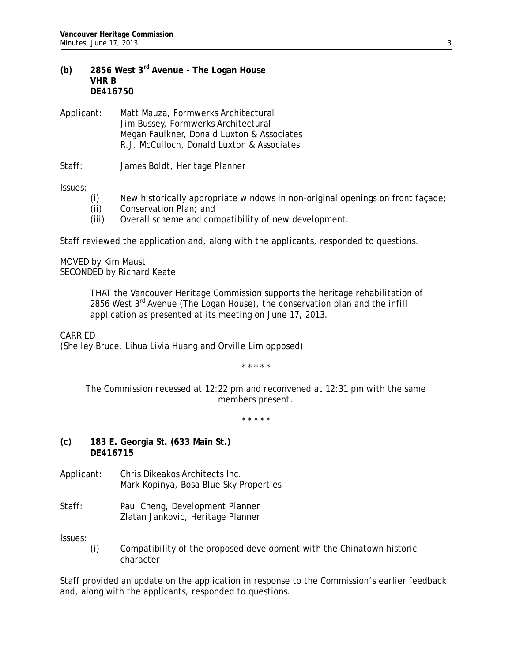- **(b) 2856 West 3rd Avenue The Logan House VHR B DE416750**
- Applicant: Matt Mauza, Formwerks Architectural Jim Bussey, Formwerks Architectural Megan Faulkner, Donald Luxton & Associates R.J. McCulloch, Donald Luxton & Associates
- Staff: James Boldt, Heritage Planner

Issues:

- (i) New historically appropriate windows in non-original openings on front façade;
- (ii) Conservation Plan; and
- (iii) Overall scheme and compatibility of new development.

Staff reviewed the application and, along with the applicants, responded to questions.

MOVED by Kim Maust SECONDED by Richard Keate

> THAT the Vancouver Heritage Commission supports the heritage rehabilitation of 2856 West  $3^{rd}$  Avenue (The Logan House), the conservation plan and the infill application as presented at its meeting on June 17, 2013.

CARRIED

(Shelley Bruce, Lihua Livia Huang and Orville Lim opposed)

*\* \* \* \* \** 

*The Commission recessed at 12:22 pm and reconvened at 12:31 pm with the same members present.* 

*\* \* \* \* \** 

- **(c) 183 E. Georgia St. (633 Main St.) DE416715**
- Applicant: Chris Dikeakos Architects Inc. Mark Kopinya, Bosa Blue Sky Properties
- Staff: Paul Cheng, Development Planner Zlatan Jankovic, Heritage Planner

Issues:

(i) Compatibility of the proposed development with the Chinatown historic character

Staff provided an update on the application in response to the Commission's earlier feedback and, along with the applicants, responded to questions.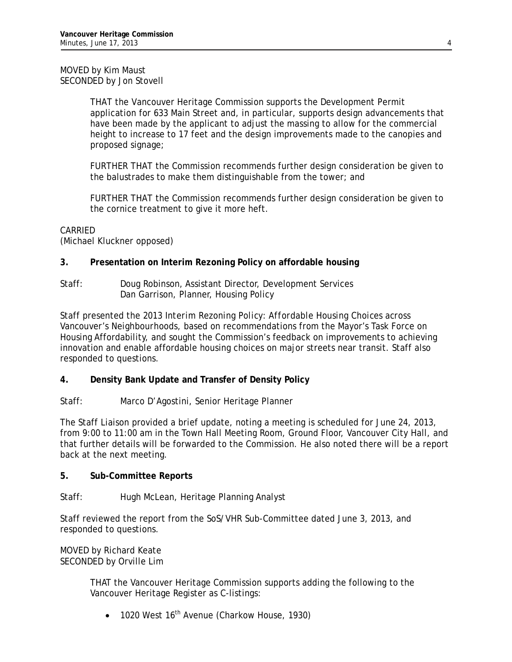## MOVED by Kim Maust SECONDED by Jon Stovell

THAT the Vancouver Heritage Commission supports the Development Permit application for 633 Main Street and, in particular, supports design advancements that have been made by the applicant to adjust the massing to allow for the commercial height to increase to 17 feet and the design improvements made to the canopies and proposed signage;

FURTHER THAT the Commission recommends further design consideration be given to the balustrades to make them distinguishable from the tower; and

FURTHER THAT the Commission recommends further design consideration be given to the cornice treatment to give it more heft.

## CARRIED

(Michael Kluckner opposed)

## **3. Presentation on Interim Rezoning Policy on affordable housing**

Staff: Doug Robinson, Assistant Director, Development Services Dan Garrison, Planner, Housing Policy

Staff presented the *2013 Interim Rezoning Policy: Affordable Housing Choices across Vancouver's Neighbourhoods*, based on recommendations from the Mayor's Task Force on Housing Affordability, and sought the Commission's feedback on improvements to achieving innovation and enable affordable housing choices on major streets near transit. Staff also responded to questions.

## **4. Density Bank Update and Transfer of Density Policy**

Staff: Marco D'Agostini, Senior Heritage Planner

The Staff Liaison provided a brief update, noting a meeting is scheduled for June 24, 2013, from 9:00 to 11:00 am in the Town Hall Meeting Room, Ground Floor, Vancouver City Hall, and that further details will be forwarded to the Commission. He also noted there will be a report back at the next meeting.

### **5. Sub-Committee Reports**

Staff: Hugh McLean, Heritage Planning Analyst

Staff reviewed the report from the SoS/VHR Sub-Committee dated June 3, 2013, and responded to questions.

MOVED by Richard Keate SECONDED by Orville Lim

> THAT the Vancouver Heritage Commission supports adding the following to the Vancouver Heritage Register as C-listings:

 $\bullet$  1020 West 16<sup>th</sup> Avenue (Charkow House, 1930)